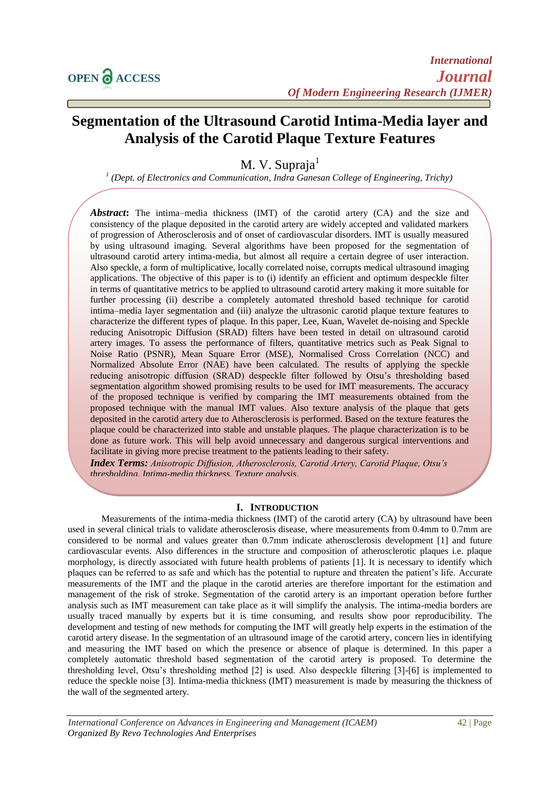# **Segmentation of the Ultrasound Carotid Intima-Media layer and Analysis of the Carotid Plaque Texture Features**

M. V. Supraja

*1 (Dept. of Electronics and Communication, Indra Ganesan College of Engineering, Trichy)*

*Abstract***:** The intima–media thickness (IMT) of the carotid artery (CA) and the size and consistency of the plaque deposited in the carotid artery are widely accepted and validated markers of progression of Atherosclerosis and of onset of cardiovascular disorders. IMT is usually measured by using ultrasound imaging. Several algorithms have been proposed for the segmentation of ultrasound carotid artery intima-media, but almost all require a certain degree of user interaction. Also speckle, a form of multiplicative, locally correlated noise, corrupts medical ultrasound imaging applications. The objective of this paper is to (i) identify an efficient and optimum despeckle filter in terms of quantitative metrics to be applied to ultrasound carotid artery making it more suitable for further processing (ii) describe a completely automated threshold based technique for carotid intima–media layer segmentation and (iii) analyze the ultrasonic carotid plaque texture features to characterize the different types of plaque. In this paper, Lee, Kuan, Wavelet de-noising and Speckle reducing Anisotropic Diffusion (SRAD) filters have been tested in detail on ultrasound carotid artery images. To assess the performance of filters, quantitative metrics such as Peak Signal to Noise Ratio (PSNR), Mean Square Error (MSE), Normalised Cross Correlation (NCC) and Normalized Absolute Error (NAE) have been calculated. The results of applying the speckle reducing anisotropic diffusion (SRAD) despeckle filter followed by Otsu's thresholding based segmentation algorithm showed promising results to be used for IMT measurements. The accuracy of the proposed technique is verified by comparing the IMT measurements obtained from the proposed technique with the manual IMT values. Also texture analysis of the plaque that gets deposited in the carotid artery due to Atherosclerosis is performed. Based on the texture features the plaque could be characterized into stable and unstable plaques. The plaque characterization is to be done as future work. This will help avoid unnecessary and dangerous surgical interventions and facilitate in giving more precise treatment to the patients leading to their safety.

*Index Terms: Anisotropic Diffusion, Atherosclerosis, Carotid Artery, Carotid Plaque, Otsu's thresholding, Intima-media thickness, Texture analysis*.

# **I. INTRODUCTION**

Measurements of the intima-media thickness (IMT) of the carotid artery (CA) by ultrasound have been used in several clinical trials to validate atherosclerosis disease, where measurements from 0.4mm to 0.7mm are considered to be normal and values greater than 0.7mm indicate atherosclerosis development [1] and future cardiovascular events. Also differences in the structure and composition of atherosclerotic plaques i.e. plaque morphology, is directly associated with future health problems of patients [1]. It is necessary to identify which plaques can be referred to as safe and which has the potential to rupture and threaten the patient's life. Accurate measurements of the IMT and the plaque in the carotid arteries are therefore important for the estimation and management of the risk of stroke. Segmentation of the carotid artery is an important operation before further analysis such as IMT measurement can take place as it will simplify the analysis. The intima-media borders are usually traced manually by experts but it is time consuming, and results show poor reproducibility. The development and testing of new methods for computing the IMT will greatly help experts in the estimation of the carotid artery disease. In the segmentation of an ultrasound image of the carotid artery, concern lies in identifying and measuring the IMT based on which the presence or absence of plaque is determined. In this paper a completely automatic threshold based segmentation of the carotid artery is proposed. To determine the thresholding level, Otsu's thresholding method [2] is used. Also despeckle filtering [3]-[6] is implemented to reduce the speckle noise [3]. Intima-media thickness (IMT) measurement is made by measuring the thickness of the wall of the segmented artery.

*International Conference on Advances in Engineering and Management (ICAEM)* 42 | Page *Organized By Revo Technologies And Enterprises*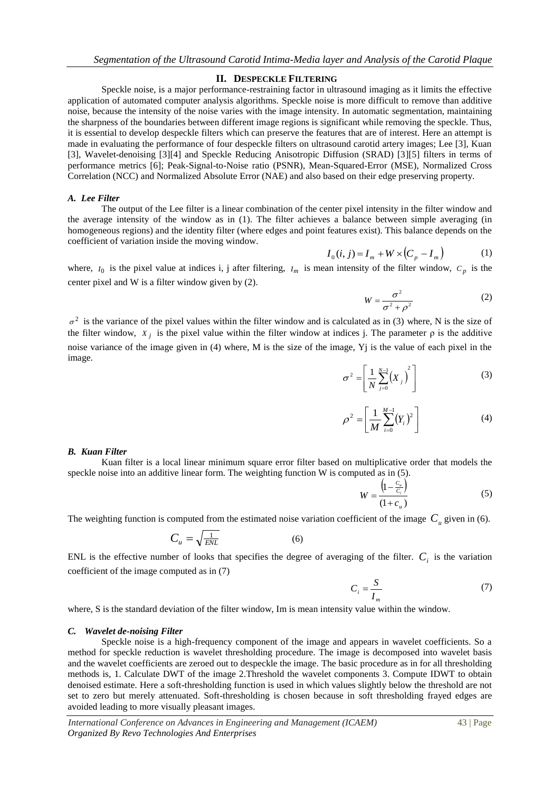#### **II. DESPECKLE FILTERING**

Speckle noise, is a major performance-restraining factor in ultrasound imaging as it limits the effective application of automated computer analysis algorithms. Speckle noise is more difficult to remove than additive noise, because the intensity of the noise varies with the image intensity. In automatic segmentation, maintaining the sharpness of the boundaries between different image regions is significant while removing the speckle. Thus, it is essential to develop despeckle filters which can preserve the features that are of interest. Here an attempt is made in evaluating the performance of four despeckle filters on ultrasound carotid artery images; Lee [3], Kuan [3], Wavelet-denoising [3][4] and Speckle Reducing Anisotropic Diffusion (SRAD) [3][5] filters in terms of performance metrics [6]; Peak-Signal-to-Noise ratio (PSNR), Mean-Squared-Error (MSE), Normalized Cross Correlation (NCC) and Normalized Absolute Error (NAE) and also based on their edge preserving property.

#### *A. Lee Filter*

The output of the Lee filter is a linear combination of the center pixel intensity in the filter window and the average intensity of the window as in (1). The filter achieves a balance between simple averaging (in homogeneous regions) and the identity filter (where edges and point features exist). This balance depends on the coefficient of variation inside the moving window.

$$
I_0(i, j) = I_m + W \times (C_p - I_m)
$$
 (1)

where,  $I_0$  is the pixel value at indices i, j after filtering,  $I_m$  is mean intensity of the filter window,  $C_p$  is the center pixel and W is a filter window given by (2).

$$
W = \frac{\sigma^2}{\sigma^2 + \rho^2} \tag{2}
$$

 $\sigma^2$  is the variance of the pixel values within the filter window and is calculated as in (3) where, N is the size of the filter window,  $X_j$  is the pixel value within the filter window at indices j. The parameter  $\rho$  is the additive noise variance of the image given in (4) where, M is the size of the image, Yj is the value of each pixel in the image.

$$
\sigma^2 = \left[ \frac{1}{N} \sum_{j=0}^{N-1} \left( X_j \right)^2 \right] \tag{3}
$$

$$
\rho^2 = \left[ \frac{1}{M} \sum_{i=0}^{M-1} (Y_i)^2 \right] \tag{4}
$$

#### *B. Kuan Filter*

Kuan filter is a local linear minimum square error filter based on multiplicative order that models the speckle noise into an additive linear form. The weighting function W is computed as in (5).

$$
W = \frac{\left(1 - \frac{C_u}{C_i}\right)}{(1 + c_u)}
$$
 (5)

The weighting function is computed from the estimated noise variation coefficient of the image  $C<sub>u</sub>$  given in (6).

$$
C_u = \sqrt{\frac{1}{ENL}}\tag{6}
$$

ENL is the effective number of looks that specifies the degree of averaging of the filter.  $C_i$  is the variation coefficient of the image computed as in (7)

$$
C_i = \frac{S}{I_m} \tag{7}
$$

where, S is the standard deviation of the filter window, Im is mean intensity value within the window.

#### *C. Wavelet de-noising Filter*

Speckle noise is a high-frequency component of the image and appears in wavelet coefficients. So a method for speckle reduction is wavelet thresholding procedure. The image is decomposed into wavelet basis and the wavelet coefficients are zeroed out to despeckle the image. The basic procedure as in for all thresholding methods is, 1. Calculate DWT of the image 2.Threshold the wavelet components 3. Compute IDWT to obtain denoised estimate. Here a soft-thresholding function is used in which values slightly below the threshold are not set to zero but merely attenuated. Soft-thresholding is chosen because in soft thresholding frayed edges are avoided leading to more visually pleasant images.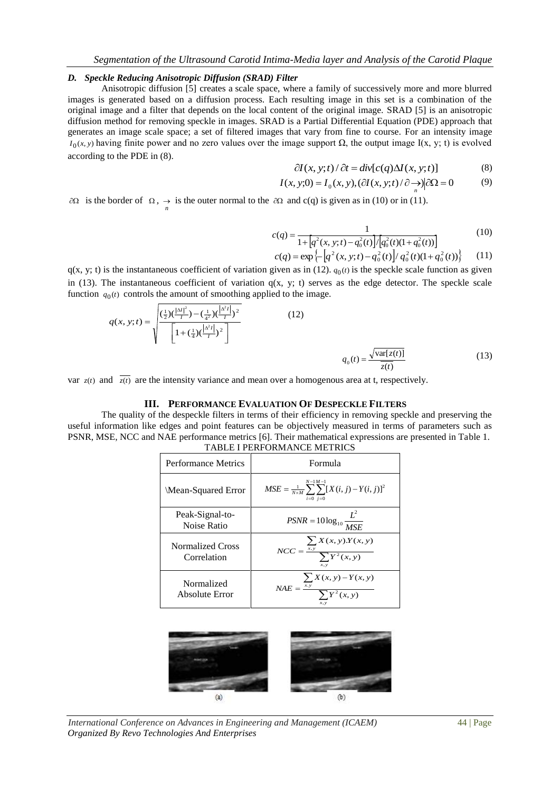# *D. Speckle Reducing Anisotropic Diffusion (SRAD) Filter*

Anisotropic diffusion [5] creates a [scale space,](http://en.wikipedia.org/wiki/Scale_space) where a family of successively more and more blurred images is generated based on a diffusion process. Each resulting image in this set is a combination of the original image and a filter that depends on the local content of the original image. SRAD [5] is an anisotropic diffusion method for removing speckle in images. SRAD is a Partial Differential Equation (PDE) approach that generates an image scale space; a set of filtered images that vary from fine to course. For an intensity image  $I_0(x, y)$  having finite power and no zero values over the image support  $\Omega$ , the output image I(x, y; t) is evolved according to the PDE in (8).

$$
\partial I(x, y; t) / \partial t = \text{div}[c(q)\Delta I(x, y; t)] \tag{8}
$$

$$
I(x, y; 0) = I_0(x, y), (\partial I(x, y; t) / \partial \xrightarrow[n]{ } \partial \Omega = 0
$$
 (9)

 $\partial\Omega$  is the border of  $\Omega$ ,  $\rightarrow$  is the outer normal to the  $\partial\Omega$  and c(q) is given as in (10) or in (11).

$$
c(q) = \frac{1}{1 + [q^2(x, y; t) - q_0^2(t)] / [q_0^2(t)(1 + q_0^2(t))]}
$$
(10)

$$
c(q) = \exp\left\{-\left[q^2(x, y; t) - q_0^2(t)\right] / q_0^2(t)(1 + q_0^2(t))\right\} \tag{11}
$$

 $q(x, y; t)$  is the instantaneous coefficient of variation given as in (12).  $q_0(t)$  is the speckle scale function as given in (13). The instantaneous coefficient of variation  $q(x, y; t)$  serves as the edge detector. The speckle scale function  $q_0(t)$  controls the amount of smoothing applied to the image.

$$
q(x, y; t) = \sqrt{\frac{\left(\frac{1}{2}\right)\left(\frac{|\Delta t|^2}{I}\right) - \left(\frac{1}{4^2}\right)\left(\frac{|\Delta^2 t|}{I}\right)^2}{\left[1 + \left(\frac{1}{4}\right)\left(\frac{|\Delta^2 t|}{I}\right)^2\right]}}
$$
(12)

$$
q_0(t) = \frac{\sqrt{\text{var}[z(t)]}}{\overline{z(t)}}\tag{13}
$$

var  $z(t)$  and  $\overline{z(t)}$  are the intensity variance and mean over a homogenous area at t, respectively.

#### **III. PERFORMANCE EVALUATION OF DESPECKLE FILTERS**

The quality of the despeckle filters in terms of their efficiency in removing speckle and preserving the useful information like edges and point features can be objectively measured in terms of parameters such as PSNR, MSE, NCC and NAE performance metrics [6]. Their mathematical expressions are presented in Table 1. TABLE I PERFORMANCE METRICS

| Performance Metrics             | Formula                                                                                 |  |  |
|---------------------------------|-----------------------------------------------------------------------------------------|--|--|
| Mean-Squared Error              | $N-1M-1$<br>$MSE = \frac{1}{N \times M} \sum \sum [X(i, j) - Y(i, j)]^2$<br>$i=0$ $i=0$ |  |  |
| Peak-Signal-to-<br>Noise Ratio  | $PSNR = 10 \log_{10} \frac{L^2}{MSE}$                                                   |  |  |
| Normalized Cross<br>Correlation | $NCC = \frac{\sum_{x,y} X(x, y).Y(x, y)}{\sum Y^2(x, y)}$<br>x, y                       |  |  |
| Normalized<br>Absolute Error    | $\sum X(x, y) - Y(x, y)$<br>$NAE = \frac{\overline{x.y}}{\sum Y^2(x, y)}$               |  |  |



*International Conference on Advances in Engineering and Management (ICAEM)* 44 | Page *Organized By Revo Technologies And Enterprises*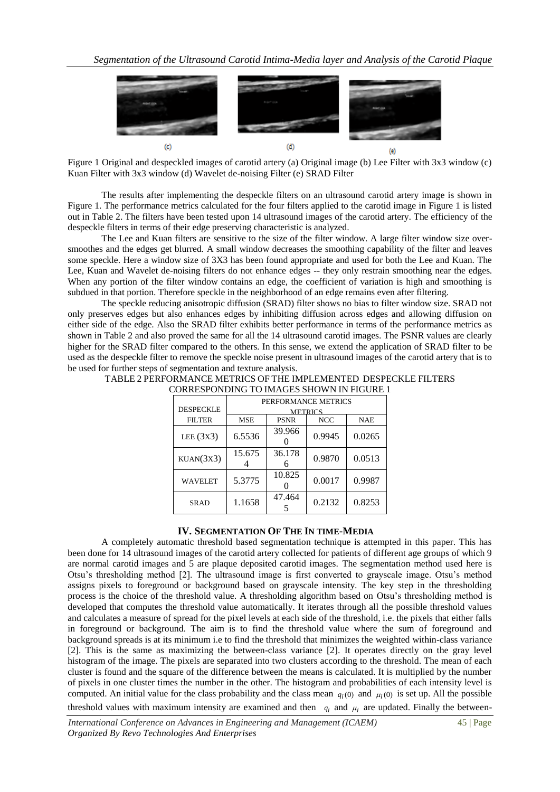

Figure 1 Original and despeckled images of carotid artery (a) Original image (b) Lee Filter with 3x3 window (c) Kuan Filter with 3x3 window (d) Wavelet de-noising Filter (e) SRAD Filter

The results after implementing the despeckle filters on an ultrasound carotid artery image is shown in Figure 1. The performance metrics calculated for the four filters applied to the carotid image in Figure 1 is listed out in Table 2. The filters have been tested upon 14 ultrasound images of the carotid artery. The efficiency of the despeckle filters in terms of their edge preserving characteristic is analyzed.

The Lee and Kuan filters are sensitive to the size of the filter window. A large filter window size oversmoothes and the edges get blurred. A small window decreases the smoothing capability of the filter and leaves some speckle. Here a window size of 3X3 has been found appropriate and used for both the Lee and Kuan. The Lee, Kuan and Wavelet de-noising filters do not enhance edges -- they only restrain smoothing near the edges. When any portion of the filter window contains an edge, the coefficient of variation is high and smoothing is subdued in that portion. Therefore speckle in the neighborhood of an edge remains even after filtering.

The speckle reducing anisotropic diffusion (SRAD) filter shows no bias to filter window size. SRAD not only preserves edges but also enhances edges by inhibiting diffusion across edges and allowing diffusion on either side of the edge. Also the SRAD filter exhibits better performance in terms of the performance metrics as shown in Table 2 and also proved the same for all the 14 ultrasound carotid images. The PSNR values are clearly higher for the SRAD filter compared to the others. In this sense, we extend the application of SRAD filter to be used as the despeckle filter to remove the speckle noise present in ultrasound images of the carotid artery that is to be used for further steps of segmentation and texture analysis.

| <b>DESPECKLE</b> | PERFORMANCE METRICS<br><b>METRICS</b> |             |            |            |  |
|------------------|---------------------------------------|-------------|------------|------------|--|
| <b>FILTER</b>    | <b>MSE</b>                            | <b>PSNR</b> | <b>NCC</b> | <b>NAE</b> |  |
| LEE $(3x3)$      | 6.5536                                | 39.966      | 0.9945     | 0.0265     |  |
| KUAN(3X3)        | 15.675                                | 36.178      | 0.9870     | 0.0513     |  |
| <b>WAVELET</b>   | 5.3775                                | 10.825      | 0.0017     | 0.9987     |  |
| <b>SRAD</b>      | 1.1658                                | 47.464      | 0.2132     | 0.8253     |  |

### TABLE 2 PERFORMANCE METRICS OF THE IMPLEMENTED DESPECKLE FILTERS CORRESPONDING TO IMAGES SHOWN IN FIGURE 1

## **IV. SEGMENTATION OF THE IN TIME-MEDIA**

A completely automatic threshold based segmentation technique is attempted in this paper. This has been done for 14 ultrasound images of the carotid artery collected for patients of different age groups of which 9 are normal carotid images and 5 are plaque deposited carotid images. The segmentation method used here is Otsu's thresholding method [2]. The ultrasound image is first converted to grayscale image. Otsu's method assigns pixels to foreground or background based on grayscale intensity. The key step in the thresholding process is the choice of the threshold value. A thresholding algorithm based on Otsu's thresholding method is developed that computes the threshold value automatically. It iterates through all the possible threshold values and calculates a measure of spread for the pixel levels at each side of the threshold, i.e. the pixels that either falls in foreground or background. The aim is to find the threshold value where the sum of foreground and background spreads is at its minimum i.e to find the threshold that minimizes the weighted within-class variance [2]. This is the same as maximizing the between-class variance [2]. It operates directly on the gray level histogram of the image. The pixels are separated into two clusters according to the threshold. The mean of each cluster is found and the square of the difference between the means is calculated. It is multiplied by the number of pixels in one cluster times the number in the other. The histogram and probabilities of each intensity level is computed. An initial value for the class probability and the class mean  $q_i(0)$  and  $\mu_i(0)$  is set up. All the possible threshold values with maximum intensity are examined and then  $q_i$  and  $\mu_i$  are updated. Finally the between-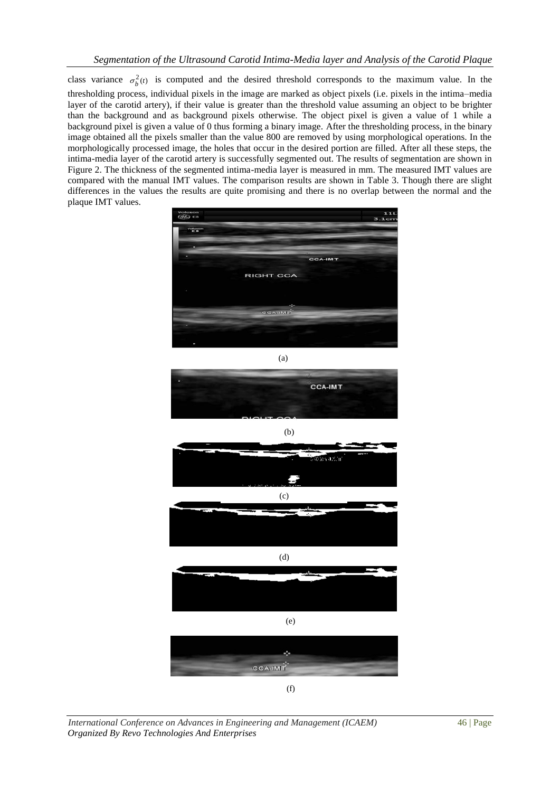class variance  $\sigma_b^2(t)$  is computed and the desired threshold corresponds to the maximum value. In the thresholding process, individual [pixels](http://en.wikipedia.org/wiki/Pixels) in the image are marked as object pixels (i.e. pixels in the intima–media layer of the carotid artery), if their value is greater than the threshold value assuming an object to be brighter than the background and as background pixels otherwise. The object pixel is given a value of 1 while a background pixel is given a value of 0 thus forming a binary image. After the thresholding process, in the binary image obtained all the pixels smaller than the value 800 are removed by using morphological operations. In the morphologically processed image, the holes that occur in the desired portion are filled. After all these steps, the intima-media layer of the carotid artery is successfully segmented out. The results of segmentation are shown in Figure 2. The thickness of the segmented intima-media layer is measured in mm. The measured IMT values are compared with the manual IMT values. The comparison results are shown in Table 3. Though there are slight differences in the values the results are quite promising and there is no overlap between the normal and the plaque IMT values.











*International Conference on Advances in Engineering and Management (ICAEM)* 46 | Page *Organized By Revo Technologies And Enterprises*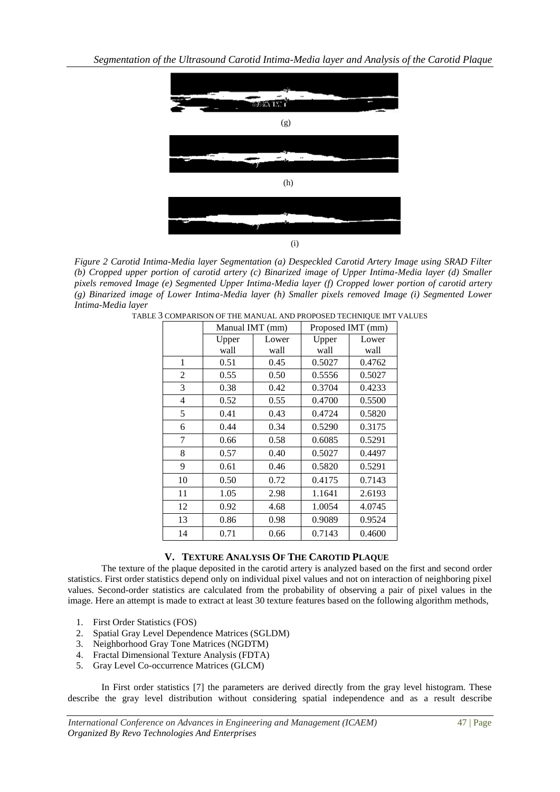

*Figure 2 Carotid Intima-Media layer Segmentation (a) Despeckled Carotid Artery Image using SRAD Filter (b) Cropped upper portion of carotid artery (c) Binarized image of Upper Intima-Media layer (d) Smaller pixels removed Image (e) Segmented Upper Intima-Media layer (f) Cropped lower portion of carotid artery (g) Binarized image of Lower Intima-Media layer (h) Smaller pixels removed Image (i) Segmented Lower Intima-Media layer*

|    | Manual IMT (mm) |       | The minically into collection of the mini-<br>Proposed IMT (mm) |        |  |
|----|-----------------|-------|-----------------------------------------------------------------|--------|--|
|    | Upper           | Lower | Upper                                                           | Lower  |  |
|    | wall            | wall  | wall                                                            | wall   |  |
| 1  | 0.51            | 0.45  | 0.5027                                                          | 0.4762 |  |
| 2  | 0.55            | 0.50  | 0.5556                                                          | 0.5027 |  |
| 3  | 0.38            | 0.42  | 0.3704                                                          | 0.4233 |  |
| 4  | 0.52            | 0.55  | 0.4700                                                          | 0.5500 |  |
| 5  | 0.41            | 0.43  | 0.4724                                                          | 0.5820 |  |
| 6  | 0.44            | 0.34  | 0.5290                                                          | 0.3175 |  |
| 7  | 0.66            | 0.58  | 0.6085                                                          | 0.5291 |  |
| 8  | 0.57            | 0.40  | 0.5027                                                          | 0.4497 |  |
| 9  | 0.61            | 0.46  | 0.5820                                                          | 0.5291 |  |
| 10 | 0.50            | 0.72  | 0.4175                                                          | 0.7143 |  |
| 11 | 1.05            | 2.98  | 1.1641                                                          | 2.6193 |  |
| 12 | 0.92            | 4.68  | 1.0054                                                          | 4.0745 |  |
| 13 | 0.86            | 0.98  | 0.9089                                                          | 0.9524 |  |
| 14 | 0.71            | 0.66  | 0.7143                                                          | 0.4600 |  |

TABLE 3 COMPARISON OF THE MANUAL AND PROPOSED TECHNIQUE IMT VALUES

# **V. TEXTURE ANALYSIS OF THE CAROTID PLAQUE**

The texture of the plaque deposited in the carotid artery is analyzed based on the first and second order statistics. First order statistics depend only on individual pixel values and not on interaction of neighboring pixel values. Second-order statistics are calculated from the probability of observing a pair of pixel values in the image. Here an attempt is made to extract at least 30 texture features based on the following algorithm methods,

- 1. First Order Statistics (FOS)
- 2. Spatial Gray Level Dependence Matrices (SGLDM)
- 3. Neighborhood Gray Tone Matrices (NGDTM)
- 4. Fractal Dimensional Texture Analysis (FDTA)
- 5. Gray Level Co-occurrence Matrices (GLCM)

In First order statistics [7] the parameters are derived directly from the gray level histogram. These describe the gray level distribution without considering spatial independence and as a result describe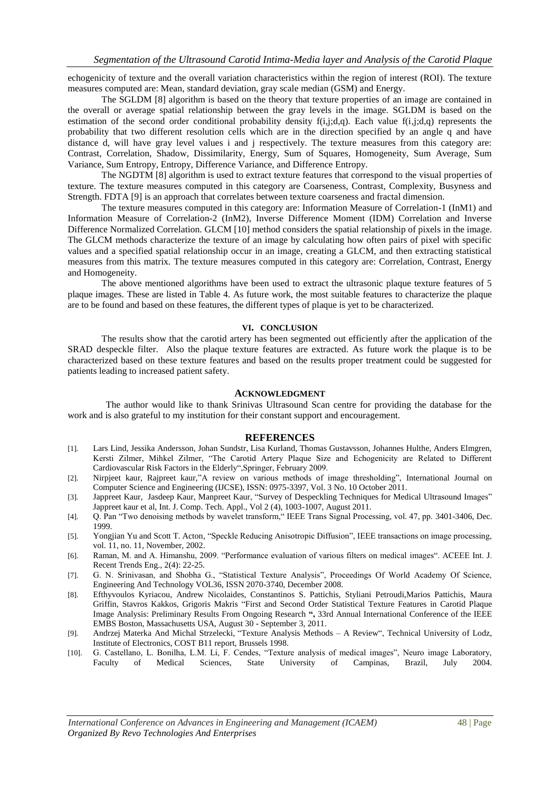echogenicity of texture and the overall variation characteristics within the region of interest (ROI). The texture measures computed are: Mean, standard deviation, gray scale median (GSM) and Energy.

The SGLDM [8] algorithm is based on the theory that texture properties of an image are contained in the overall or average spatial relationship between the gray levels in the image. SGLDM is based on the estimation of the second order conditional probability density f(i,j;d,q). Each value f(i,j;d,q) represents the probability that two different resolution cells which are in the direction specified by an angle q and have distance d, will have gray level values i and j respectively. The texture measures from this category are: Contrast, Correlation, Shadow, Dissimilarity, Energy, Sum of Squares, Homogeneity, Sum Average, Sum Variance, Sum Entropy, Entropy, Difference Variance, and Difference Entropy.

The NGDTM [8] algorithm is used to extract texture features that correspond to the visual properties of texture. The texture measures computed in this category are Coarseness, Contrast, Complexity, Busyness and Strength. FDTA [9] is an approach that correlates between texture coarseness and fractal dimension.

The texture measures computed in this category are: Information Measure of Correlation-1 (InM1) and Information Measure of Correlation-2 (InM2), Inverse Difference Moment (IDM) Correlation and Inverse Difference Normalized Correlation. GLCM [10] method considers the spatial relationship of pixels in the image. The GLCM methods characterize the texture of an image by calculating how often pairs of pixel with specific values and a specified spatial relationship occur in an image, creating a GLCM, and then extracting statistical measures from this matrix. The texture measures computed in this category are: Correlation, Contrast, Energy and Homogeneity.

The above mentioned algorithms have been used to extract the ultrasonic plaque texture features of 5 plaque images. These are listed in Table 4. As future work, the most suitable features to characterize the plaque are to be found and based on these features, the different types of plaque is yet to be characterized.

#### **VI. CONCLUSION**

The results show that the carotid artery has been segmented out efficiently after the application of the SRAD despeckle filter. Also the plaque texture features are extracted. As future work the plaque is to be characterized based on these texture features and based on the results proper treatment could be suggested for patients leading to increased patient safety.

#### **ACKNOWLEDGMENT**

The author would like to thank Srinivas Ultrasound Scan centre for providing the database for the work and is also grateful to my institution for their constant support and encouragement.

#### **REFERENCES**

- [1]. Lars Lind, Jessika Andersson, Johan Sundstr, Lisa Kurland, Thomas Gustavsson, Johannes Hulthe, Anders Elmgren, Kersti Zilmer, Mihkel Zilmer, "The Carotid Artery Plaque Size and Echogenicity are Related to Different Cardiovascular Risk Factors in the Elderly",Springer, February 2009.
- [2]. Nirpjeet kaur, Rajpreet kaur,"A review on various methods of image thresholding", International Journal on Computer Science and Engineering (IJCSE), ISSN: 0975-3397, Vol. 3 No. 10 October 2011.
- [3]. Jappreet Kaur, Jasdeep Kaur, Manpreet Kaur, "Survey of Despeckling Techniques for Medical Ultrasound Images" Jappreet kaur et al, Int. J. Comp. Tech. Appl., Vol 2 (4), 1003-1007, August 2011.
- [4]. Q. Pan "Two denoising methods by wavelet transform," IEEE Trans Signal Processing, vol. 47, pp. 3401-3406, Dec. 1999.
- [5]. Yongjian Yu and Scott T. Acton*,* "Speckle Reducing Anisotropic Diffusion", IEEE transactions on image processing, vol. 11, no. 11, November, 2002.
- [6]. Raman, M. and A. Himanshu, 2009. "Performance evaluation of various filters on medical images". ACEEE Int. J. Recent Trends Eng., 2(4): 22-25.
- [7]. G. N. Srinivasan, and Shobha G., "Statistical Texture Analysis", Proceedings Of World Academy Of Science, Engineering And Technology VOL36, ISSN 2070-3740, December 2008.
- [8]. Efthyvoulos Kyriacou, Andrew Nicolaides, Constantinos S. Pattichis, Styliani Petroudi,Marios Pattichis, Maura Griffin, Stavros Kakkos, Grigoris Makris "First and Second Order Statistical Texture Features in Carotid Plaque Image Analysis: Preliminary Results From Ongoing Research **",** 33rd Annual International Conference of the IEEE EMBS Boston, Massachusetts USA, August 30 - September 3, 2011.
- [9]. Andrzej Materka And Michal Strzelecki, "Texture Analysis Methods A Review", Technical University of Lodz, Institute of Electronics, COST B11 report, Brussels 1998.
- [10]. G. Castellano, L. Bonilha, L.M. Li, F. Cendes, "Texture analysis of medical images", Neuro image Laboratory, Faculty of Medical Sciences, State University of Campinas, Brazil, July 2004.